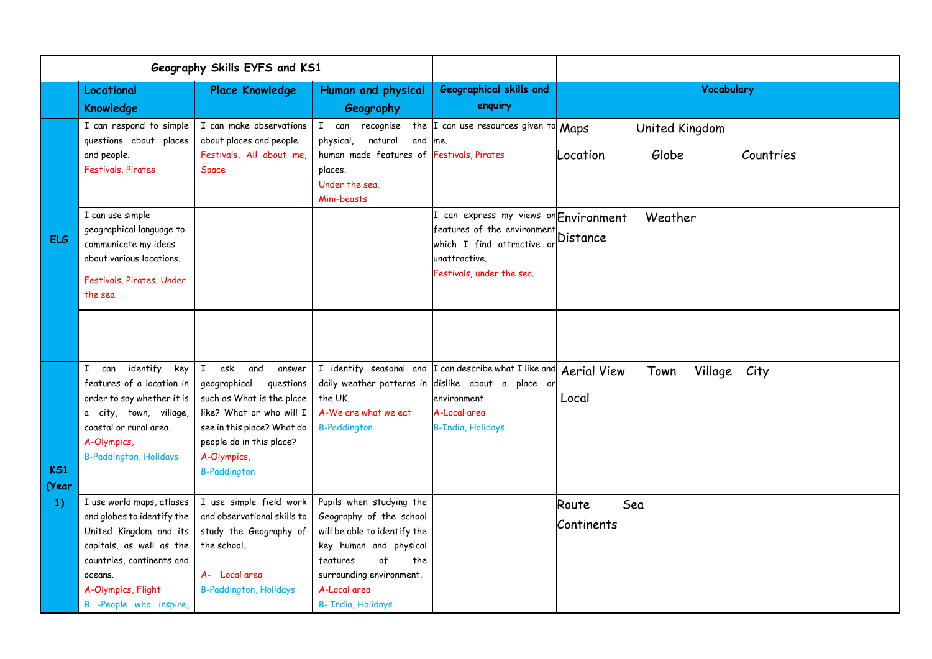| Geography Skills EYFS and KS1 |                                                                                                                                                                                                       |                                                                                                                                                                                    |                                                                                                                                                                                                                        |                                                                                                                                                |                                                     |
|-------------------------------|-------------------------------------------------------------------------------------------------------------------------------------------------------------------------------------------------------|------------------------------------------------------------------------------------------------------------------------------------------------------------------------------------|------------------------------------------------------------------------------------------------------------------------------------------------------------------------------------------------------------------------|------------------------------------------------------------------------------------------------------------------------------------------------|-----------------------------------------------------|
|                               | Locational                                                                                                                                                                                            | <b>Place Knowledge</b>                                                                                                                                                             | Human and physical                                                                                                                                                                                                     | <b>Geographical skills and</b>                                                                                                                 | <b>Vocabulary</b>                                   |
|                               | <b>Knowledge</b>                                                                                                                                                                                      |                                                                                                                                                                                    | Geography                                                                                                                                                                                                              | enquiry                                                                                                                                        |                                                     |
| <b>ELG</b>                    | I can respond to simple<br>questions about places<br>and people.<br><b>Festivals, Pirates</b>                                                                                                         | I can make observations<br>about places and people.<br>Festivals, All about me,<br>Space                                                                                           | recognise<br>I can<br>natural<br>and me.<br>physical,<br>human made features of Festivals, Pirates<br>places.<br>Under the sea.<br>Mini-beasts                                                                         | the <i>I</i> can use resources given to Maps                                                                                                   | United Kingdom<br>Globe<br>Countries<br>Location    |
|                               | I can use simple<br>geographical language to<br>communicate my ideas<br>about various locations.<br>Festivals, Pirates, Under<br>the sea.                                                             |                                                                                                                                                                                    |                                                                                                                                                                                                                        | can express my views on Environment<br>features of the environment<br>which I find attractive or<br>unattractive.<br>Festivals, under the sea. | Weather<br><b>Distance</b>                          |
|                               | identify<br>I can<br>key                                                                                                                                                                              | $\mathbf{I}$<br>ask and<br>answer                                                                                                                                                  |                                                                                                                                                                                                                        | I identify seasonal and I can describe what I like and                                                                                         |                                                     |
| <b>KS1</b><br>(Year<br>1)     | features of a location in<br>order to say whether it is<br>a city, town, village,<br>coastal or rural area.<br>A-Olympics,<br><b>B-Paddington, Holidays</b>                                           | geographical<br>questions<br>such as What is the place<br>like? What or who will I<br>see in this place? What do<br>people do in this place?<br>A-Olympics,<br><b>B-Paddington</b> | the UK.<br>A-We are what we eat<br><b>B-Paddington</b>                                                                                                                                                                 | daily weather patterns in dislike about a place or<br>environment.<br>A-Local area<br><b>B-India, Holidays</b>                                 | <b>Aerial View</b><br>Town<br>Village City<br>Local |
|                               | I use world maps, atlases<br>and globes to identify the<br>United Kingdom and its<br>capitals, as well as the<br>countries, continents and<br>oceans.<br>A-Olympics, Flight<br>B -People who inspire, | I use simple field work<br>and observational skills to<br>study the Geography of<br>the school.<br>A- Local area<br><b>B-Paddington, Holidays</b>                                  | Pupils when studying the<br>Geography of the school<br>will be able to identify the<br>key human and physical<br>$\circ$ f<br>features<br>the<br>surrounding environment.<br>A-Local area<br><b>B- India, Holidays</b> |                                                                                                                                                | Sea<br>Route<br>Continents                          |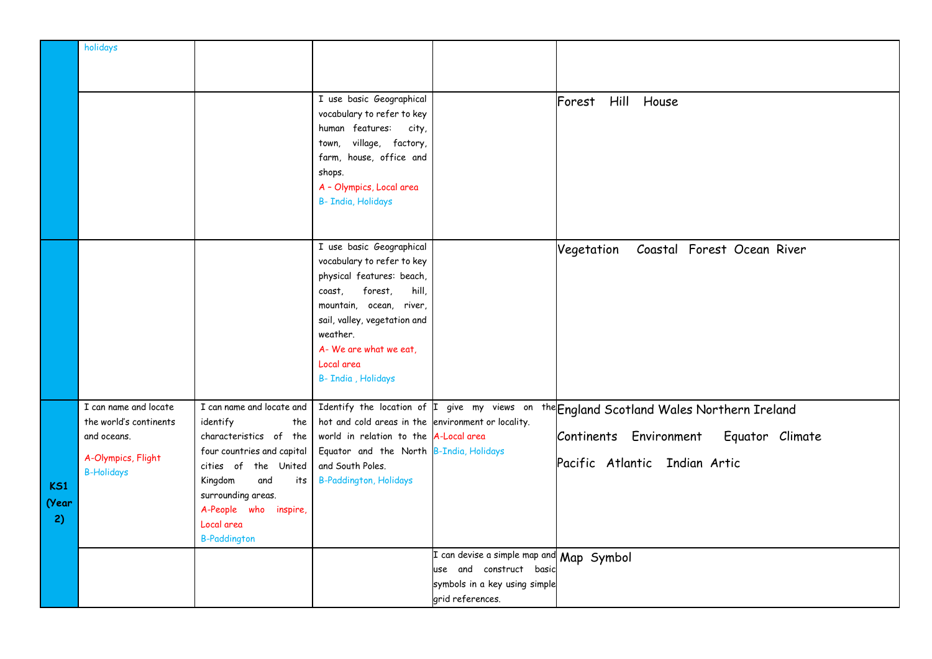|       | holidays               |                                             |                                                    |                                                                                          |                                                                                         |
|-------|------------------------|---------------------------------------------|----------------------------------------------------|------------------------------------------------------------------------------------------|-----------------------------------------------------------------------------------------|
|       |                        |                                             |                                                    |                                                                                          |                                                                                         |
|       |                        |                                             |                                                    |                                                                                          |                                                                                         |
|       |                        |                                             | I use basic Geographical                           |                                                                                          | Hill House<br>Forest                                                                    |
|       |                        |                                             | vocabulary to refer to key                         |                                                                                          |                                                                                         |
|       |                        |                                             | human features: city,                              |                                                                                          |                                                                                         |
|       |                        |                                             | town, village, factory,                            |                                                                                          |                                                                                         |
|       |                        |                                             | farm, house, office and                            |                                                                                          |                                                                                         |
|       |                        |                                             | shops.                                             |                                                                                          |                                                                                         |
|       |                        |                                             | A - Olympics, Local area                           |                                                                                          |                                                                                         |
|       |                        |                                             | <b>B- India, Holidays</b>                          |                                                                                          |                                                                                         |
|       |                        |                                             |                                                    |                                                                                          |                                                                                         |
|       |                        |                                             | I use basic Geographical                           |                                                                                          | Coastal Forest Ocean River<br>Vegetation                                                |
|       |                        |                                             | vocabulary to refer to key                         |                                                                                          |                                                                                         |
|       |                        |                                             | physical features: beach,                          |                                                                                          |                                                                                         |
|       |                        |                                             | forest,<br>hill,<br>coast,                         |                                                                                          |                                                                                         |
|       |                        |                                             | mountain, ocean, river,                            |                                                                                          |                                                                                         |
|       |                        |                                             | sail, valley, vegetation and                       |                                                                                          |                                                                                         |
|       |                        |                                             | weather.                                           |                                                                                          |                                                                                         |
|       |                        |                                             | A- We are what we eat,<br>Local area               |                                                                                          |                                                                                         |
|       |                        |                                             | B- India, Holidays                                 |                                                                                          |                                                                                         |
|       |                        |                                             |                                                    |                                                                                          |                                                                                         |
|       | I can name and locate  | I can name and locate and                   |                                                    |                                                                                          | Identify the location of I give my views on the England Scotland Wales Northern Ireland |
|       | the world's continents | identify<br>the                             | hot and cold areas in the environment or locality. |                                                                                          |                                                                                         |
|       | and oceans.            | characteristics of the                      | world in relation to the A-Local area              |                                                                                          | Continents Environment<br>Equator Climate                                               |
|       | A-Olympics, Flight     | four countries and capital                  | Equator and the North B-India, Holidays            |                                                                                          | Pacific Atlantic Indian Artic                                                           |
|       | <b>B-Holidays</b>      | cities of the United                        | and South Poles.                                   |                                                                                          |                                                                                         |
| K51   |                        | Kingdom<br>and<br>its<br>surrounding areas. | <b>B-Paddington, Holidays</b>                      |                                                                                          |                                                                                         |
| (Year |                        | A-People who inspire,                       |                                                    |                                                                                          |                                                                                         |
| 2)    |                        | Local area                                  |                                                    |                                                                                          |                                                                                         |
|       |                        | <b>B-Paddington</b>                         |                                                    |                                                                                          |                                                                                         |
|       |                        |                                             |                                                    | $\overline{\text{\sf I}}$ can devise a simple map and $\overline{\text{\sf Map}}$ Symbol |                                                                                         |
|       |                        |                                             |                                                    | use and construct basic                                                                  |                                                                                         |
|       |                        |                                             |                                                    | symbols in a key using simple                                                            |                                                                                         |
|       |                        |                                             |                                                    | grid references.                                                                         |                                                                                         |